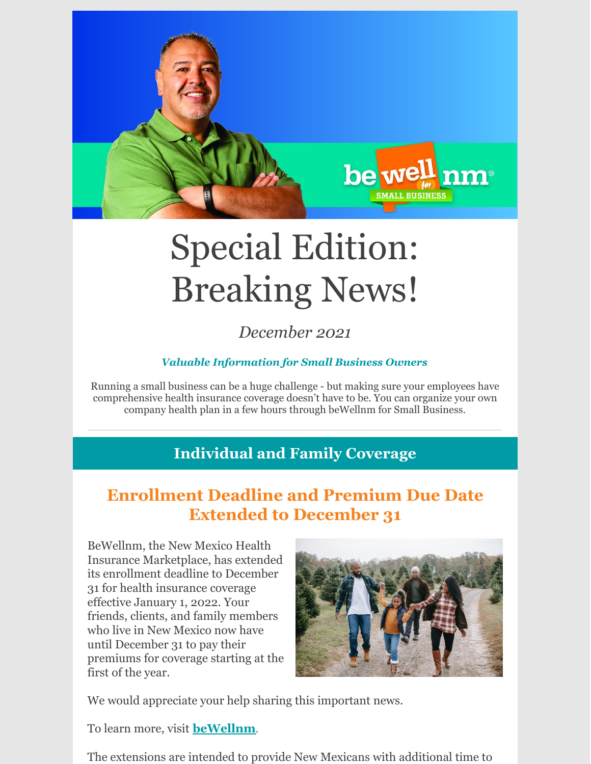

# Special Edition: Breaking News!

*December 2021*

#### *Valuable Information for Small Business Owners*

Running a small business can be a huge challenge - but making sure your employees have comprehensive health insurance coverage doesn't have to be. You can organize your own company health plan in a few hours through beWellnm for Small Business.

#### **Individual and Family Coverage**

### **Enrollment Deadline and Premium Due Date Extended to December 31**

BeWellnm, the New Mexico Health Insurance Marketplace, has extended its enrollment deadline to December 31 for health insurance coverage effective January 1, 2022. Your friends, clients, and family members who live in New Mexico now have until December 31 to pay their premiums for coverage starting at the first of the year.



We would appreciate your help sharing this important news.

To learn more, visit **[beWellnm](https://www.bewellnm.com/)**.

The extensions are intended to provide New Mexicans with additional time to